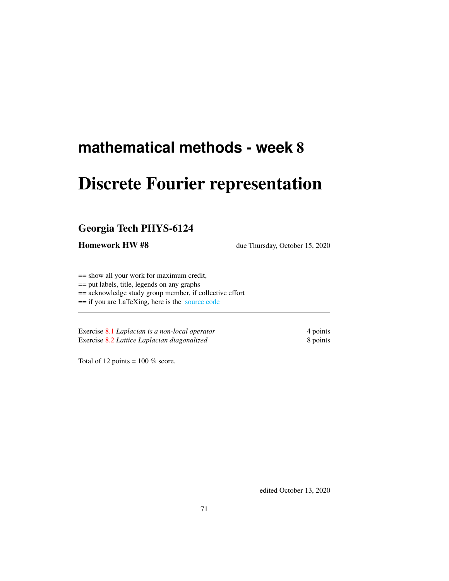# **mathematical methods - week** 8

# Discrete Fourier representation

## Georgia Tech PHYS-6124

Homework HW #8 due Thursday, October 15, 2020

== show all your work for maximum credit,

== put labels, title, legends on any graphs

== acknowledge study group member, if collective effort

== if you are LaTeXing, here is the [source code](http://chaosbook.org/~predrag/courses/PHYS-6124-20/exerWeek8.tex)

Exercise [8.1](#page-2-0) *Laplacian is a non-local operator* 4 points Exercise [8.2](#page-3-0) *Lattice Laplacian diagonalized* 8 points

Total of 12 points =  $100\%$  score.

edited October 13, 2020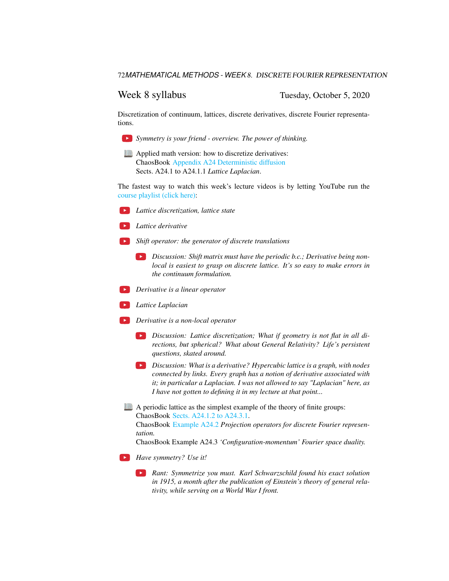Week 8 syllabus Tuesday, October 5, 2020

Discretization of continuum, lattices, discrete derivatives, discrete Fourier representations.



**Applied math version:** how to discretize derivatives: ChaosBook [Appendix A24 Deterministic diffusion](http://ChaosBook.org/chapters/ChaosBook.pdf#appendix.X) Sects. A24.1 to A24.1.1 *Lattice Laplacian*.

The fastest way to watch this week's lecture videos is by letting YouTube run the [course playlist \(click here\):](https://www.youtube.com/watch?v=S49LedVJbMo&list=PLVcaOb64gCp-J115RvfOhE1Yb4s584Mho&index=55)

*Lattice discretization, lattice state*

*Lattice derivative*

- *Shift operator: the generator of discrete translations*
	- *Discussion: Shift matrix must have the periodic b.c.; Derivative being nonlocal is easiest to grasp on discrete lattice. It's so easy to make errors in the continuum formulation.*
- *Derivative is a linear operator*
- *Lattice Laplacian*
- *Derivative is a non-local operator*
	- *Discussion: Lattice discretization; What if geometry is not flat in all directions, but spherical? What about General Relativity? Life's persistent questions, skated around.*
	- *Discussion: What is a derivative? Hypercubic lattice is a graph, with nodes connected by links. Every graph has a notion of derivative associated with it; in particular a Laplacian. I was not allowed to say "Laplacian" here, as I have not gotten to defining it in my lecture at that point...*
- A periodic lattice as the simplest example of the theory of finite groups: ChaosBook [Sects. A24.1.2 to A24.3.1.](http://ChaosBook.org/chapters/ChaosBook.pdf#section.X.1)

ChaosBook [Example A24.2](http://ChaosBook.org/chapters/ChaosBook.pdf#section.X.6) *Projection operators for discrete Fourier representation.*

ChaosBook Example A24.3 *'Configuration-momentum' Fourier space duality.*

- *Have symmetry? Use it!*
	- *Rant: Symmetrize you must. Karl Schwarzschild found his exact solution in 1915, a month after the publication of Einstein's theory of general relativity, while serving on a World War I front.*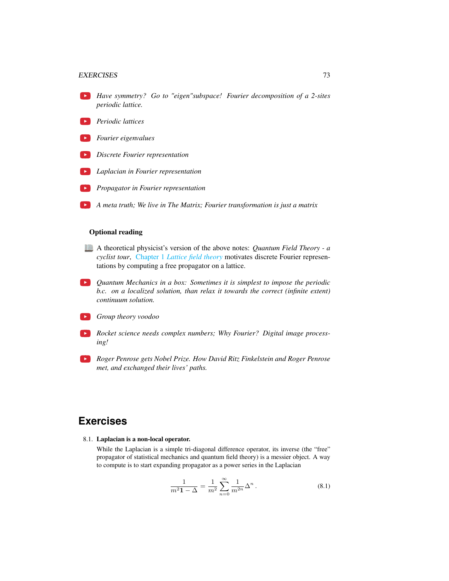### EXERCISES 73

- *Have symmetry? Go to "eigen"subspace! Fourier decomposition of a 2-sites periodic lattice.*
- *Periodic lattices*
- *Fourier eigenvalues*
- *Discrete Fourier representation*
- *Laplacian in Fourier representation*
- *Propagator in Fourier representation*
- *A meta truth; We live in The Matrix; Fourier transformation is just a matrix*

### Optional reading

- A theoretical physicist's version of the above notes: *Quantum Field Theory a cyclist tour*, Chapter 1 *[Lattice field theory](http://chaosbook.org/FieldTheory/QMlectures/lectQM.pdf#chapter.1)* motivates discrete Fourier representations by computing a free propagator on a lattice.
- *Quantum Mechanics in a box: Sometimes it is simplest to impose the periodic b.c. on a localized solution, than relax it towards the correct (infinite extent) continuum solution.*
- *Group theory voodoo*
- *Rocket science needs complex numbers; Why Fourier? Digital image processing!*
- *Roger Penrose gets Nobel Prize. How David Ritz Finkelstein and Roger Penrose met, and exchanged their lives' paths.*

## **Exercises**

<span id="page-2-0"></span>8.1. Laplacian is a non-local operator.

While the Laplacian is a simple tri-diagonal difference operator, its inverse (the "free" propagator of statistical mechanics and quantum field theory) is a messier object. A way to compute is to start expanding propagator as a power series in the Laplacian

<span id="page-2-1"></span>
$$
\frac{1}{m^2 \mathbf{1} - \Delta} = \frac{1}{m^2} \sum_{n=0}^{\infty} \frac{1}{m^{2n}} \Delta^n.
$$
 (8.1)